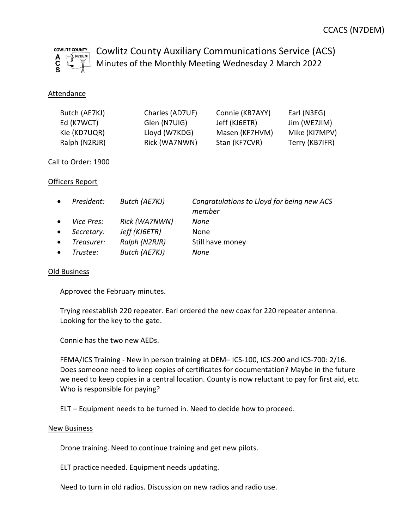

Cowlitz County Auxiliary Communications Service (ACS) Minutes of the Monthly Meeting Wednesday 2 March 2022

## Attendance

| Butch (AE7KJ) | Charles (AD7UF) | Connie (KB7AYY) | Earl (N3EG)    |
|---------------|-----------------|-----------------|----------------|
| Ed (K7WCT)    | Glen (N7UIG)    | Jeff (KJ6ETR)   | Jim (WE7JIM)   |
| Kie (KD7UQR)  | Lloyd (W7KDG)   | Masen (KF7HVM)  | Mike (KI7MPV)  |
| Ralph (N2RJR) | Rick (WA7NWN)   | Stan (KF7CVR)   | Terry (KB7IFR) |

Call to Order: 1900

### Officers Report

| $\bullet$ | President: | Butch (AE7KJ) | Congratulations to Lloyd for being new ACS<br>member |
|-----------|------------|---------------|------------------------------------------------------|
| $\bullet$ | Vice Pres: | Rick (WA7NWN) | None                                                 |
| $\bullet$ | Secretary: | Jeff (KJ6ETR) | None                                                 |
| $\bullet$ | Treasurer: | Ralph (N2RJR) | Still have money                                     |
| $\bullet$ | Trustee:   | Butch (AE7KJ) | None                                                 |

#### Old Business

Approved the February minutes.

Trying reestablish 220 repeater. Earl ordered the new coax for 220 repeater antenna. Looking for the key to the gate.

Connie has the two new AEDs.

FEMA/ICS Training - New in person training at DEM– ICS-100, ICS-200 and ICS-700: 2/16. Does someone need to keep copies of certificates for documentation? Maybe in the future we need to keep copies in a central location. County is now reluctant to pay for first aid, etc. Who is responsible for paying?

ELT – Equipment needs to be turned in. Need to decide how to proceed.

#### New Business

Drone training. Need to continue training and get new pilots.

ELT practice needed. Equipment needs updating.

Need to turn in old radios. Discussion on new radios and radio use.